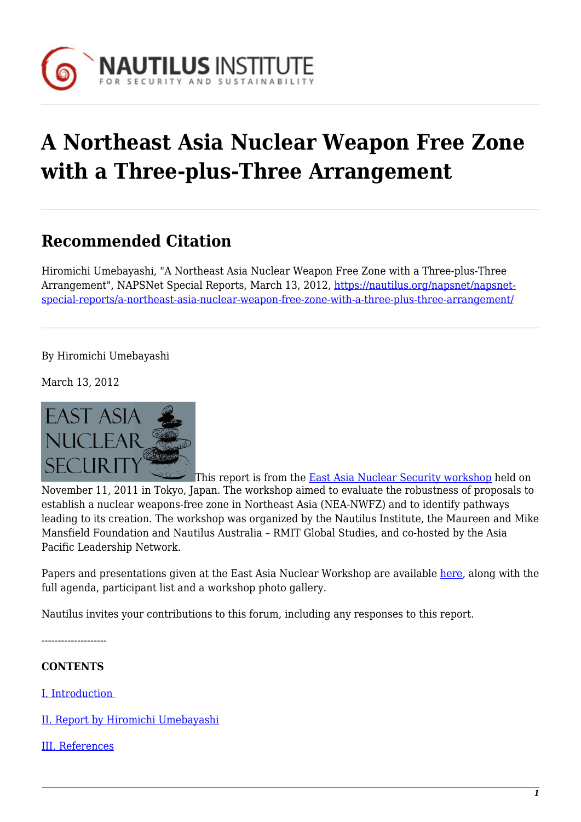

# **A Northeast Asia Nuclear Weapon Free Zone with a Three-plus-Three Arrangement**

# **Recommended Citation**

Hiromichi Umebayashi, "A Northeast Asia Nuclear Weapon Free Zone with a Three-plus-Three Arrangement", NAPSNet Special Reports, March 13, 2012, [https://nautilus.org/napsnet/napsnet](https://nautilus.org/napsnet/napsnet-special-reports/a-northeast-asia-nuclear-weapon-free-zone-with-a-three-plus-three-arrangement/)[special-reports/a-northeast-asia-nuclear-weapon-free-zone-with-a-three-plus-three-arrangement/](https://nautilus.org/napsnet/napsnet-special-reports/a-northeast-asia-nuclear-weapon-free-zone-with-a-three-plus-three-arrangement/)

By Hiromichi Umebayashi

March 13, 2012



This report is from the [East Asia Nuclear Security workshop](https://nautilus.org/projects/east-asia-nuclear-security-workshop/) held on November 11, 2011 in Tokyo, Japan. The workshop aimed to evaluate the robustness of proposals to establish a nuclear weapons-free zone in Northeast Asia (NEA-NWFZ) and to identify pathways leading to its creation. The workshop was organized by the Nautilus Institute, the Maureen and Mike Mansfield Foundation and Nautilus Australia – RMIT Global Studies, and co-hosted by the Asia Pacific Leadership Network.

Papers and presentations given at the East Asia Nuclear Workshop are available [here](https://nautilus.org/projects/east-asia-nuclear-security-workshop/), along with the full agenda, participant list and a workshop photo gallery.

Nautilus invites your contributions to this forum, including any responses to this report.

--------------------

#### **CONTENTS**

[I. Introduction](#page-1-0) 

[II. Report by Hiromichi Umebayashi](#page-1-1)

[III. References](#page-5-0)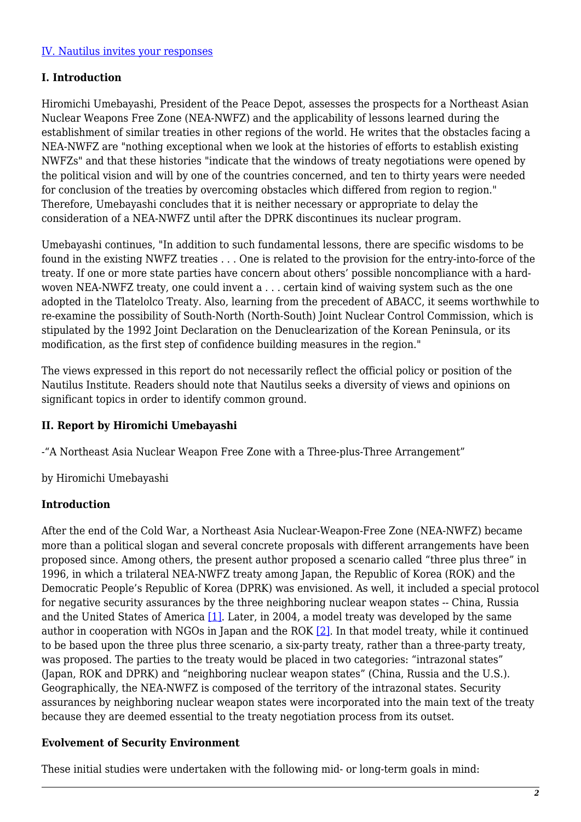#### [IV. Nautilus invites your responses](#page-6-0)

#### <span id="page-1-0"></span>**I. Introduction**

Hiromichi Umebayashi, President of the Peace Depot, assesses the prospects for a Northeast Asian Nuclear Weapons Free Zone (NEA-NWFZ) and the applicability of lessons learned during the establishment of similar treaties in other regions of the world. He writes that the obstacles facing a NEA-NWFZ are "nothing exceptional when we look at the histories of efforts to establish existing NWFZs" and that these histories "indicate that the windows of treaty negotiations were opened by the political vision and will by one of the countries concerned, and ten to thirty years were needed for conclusion of the treaties by overcoming obstacles which differed from region to region." Therefore, Umebayashi concludes that it is neither necessary or appropriate to delay the consideration of a NEA-NWFZ until after the DPRK discontinues its nuclear program.

Umebayashi continues, "In addition to such fundamental lessons, there are specific wisdoms to be found in the existing NWFZ treaties . . . One is related to the provision for the entry-into-force of the treaty. If one or more state parties have concern about others' possible noncompliance with a hardwoven NEA-NWFZ treaty, one could invent a . . . certain kind of waiving system such as the one adopted in the Tlatelolco Treaty. Also, learning from the precedent of ABACC, it seems worthwhile to re-examine the possibility of South-North (North-South) Joint Nuclear Control Commission, which is stipulated by the 1992 Joint Declaration on the Denuclearization of the Korean Peninsula, or its modification, as the first step of confidence building measures in the region."

The views expressed in this report do not necessarily reflect the official policy or position of the Nautilus Institute. Readers should note that Nautilus seeks a diversity of views and opinions on significant topics in order to identify common ground.

#### <span id="page-1-1"></span>**II. Report by Hiromichi Umebayashi**

-"A Northeast Asia Nuclear Weapon Free Zone with a Three-plus-Three Arrangement"

by Hiromichi Umebayashi

#### **Introduction**

After the end of the Cold War, a Northeast Asia Nuclear-Weapon-Free Zone (NEA-NWFZ) became more than a political slogan and several concrete proposals with different arrangements have been proposed since. Among others, the present author proposed a scenario called "three plus three" in 1996, in which a trilateral NEA-NWFZ treaty among Japan, the Republic of Korea (ROK) and the Democratic People's Republic of Korea (DPRK) was envisioned. As well, it included a special protocol for negative security assurances by the three neighboring nuclear weapon states -- China, Russia and the United States of America [\[1\]](#page-5-1). Later, in 2004, a model treaty was developed by the same author in cooperation with NGOs in Japan and the ROK  $[2]$ . In that model treaty, while it continued to be based upon the three plus three scenario, a six-party treaty, rather than a three-party treaty, was proposed. The parties to the treaty would be placed in two categories: "intrazonal states" (Japan, ROK and DPRK) and "neighboring nuclear weapon states" (China, Russia and the U.S.). Geographically, the NEA-NWFZ is composed of the territory of the intrazonal states. Security assurances by neighboring nuclear weapon states were incorporated into the main text of the treaty because they are deemed essential to the treaty negotiation process from its outset.

#### **Evolvement of Security Environment**

These initial studies were undertaken with the following mid- or long-term goals in mind: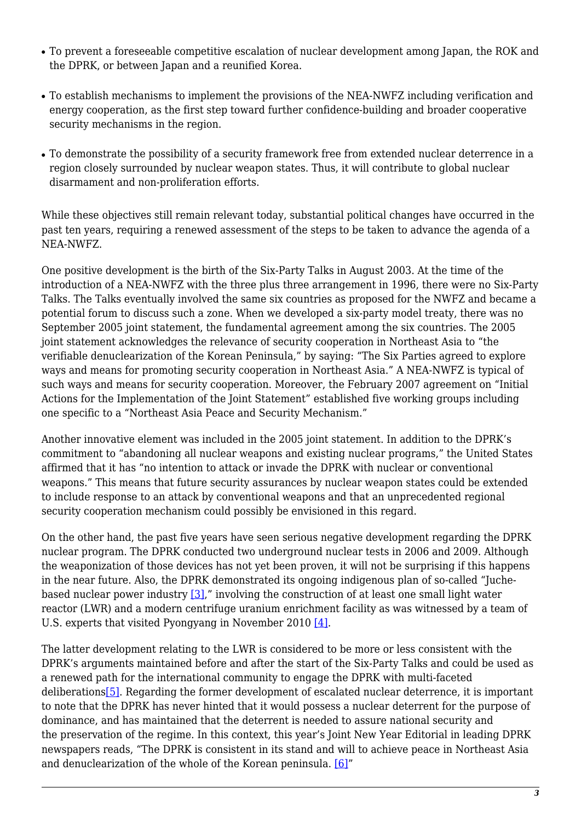- To prevent a foreseeable competitive escalation of nuclear development among Japan, the ROK and the DPRK, or between Japan and a reunified Korea.
- To establish mechanisms to implement the provisions of the NEA-NWFZ including verification and energy cooperation, as the first step toward further confidence-building and broader cooperative security mechanisms in the region.
- To demonstrate the possibility of a security framework free from extended nuclear deterrence in a region closely surrounded by nuclear weapon states. Thus, it will contribute to global nuclear disarmament and non-proliferation efforts.

While these objectives still remain relevant today, substantial political changes have occurred in the past ten years, requiring a renewed assessment of the steps to be taken to advance the agenda of a NEA-NWFZ.

One positive development is the birth of the Six-Party Talks in August 2003. At the time of the introduction of a NEA-NWFZ with the three plus three arrangement in 1996, there were no Six-Party Talks. The Talks eventually involved the same six countries as proposed for the NWFZ and became a potential forum to discuss such a zone. When we developed a six-party model treaty, there was no September 2005 joint statement, the fundamental agreement among the six countries. The 2005 joint statement acknowledges the relevance of security cooperation in Northeast Asia to "the verifiable denuclearization of the Korean Peninsula," by saying: "The Six Parties agreed to explore ways and means for promoting security cooperation in Northeast Asia." A NEA-NWFZ is typical of such ways and means for security cooperation. Moreover, the February 2007 agreement on "Initial Actions for the Implementation of the Joint Statement" established five working groups including one specific to a "Northeast Asia Peace and Security Mechanism."

Another innovative element was included in the 2005 joint statement. In addition to the DPRK's commitment to "abandoning all nuclear weapons and existing nuclear programs," the United States affirmed that it has "no intention to attack or invade the DPRK with nuclear or conventional weapons." This means that future security assurances by nuclear weapon states could be extended to include response to an attack by conventional weapons and that an unprecedented regional security cooperation mechanism could possibly be envisioned in this regard.

On the other hand, the past five years have seen serious negative development regarding the DPRK nuclear program. The DPRK conducted two underground nuclear tests in 2006 and 2009. Although the weaponization of those devices has not yet been proven, it will not be surprising if this happens in the near future. Also, the DPRK demonstrated its ongoing indigenous plan of so-called "Juchebased nuclear power industry [\[3\],](#page--1-0)" involving the construction of at least one small light water reactor (LWR) and a modern centrifuge uranium enrichment facility as was witnessed by a team of U.S. experts that visited Pyongyang in November 2010 [\[4\]](#page-5-3).

The latter development relating to the LWR is considered to be more or less consistent with the DPRK's arguments maintained before and after the start of the Six-Party Talks and could be used as a renewed path for the international community to engage the DPRK with multi-faceted deliberation[s\[5\]](#page-5-4). Regarding the former development of escalated nuclear deterrence, it is important to note that the DPRK has never hinted that it would possess a nuclear deterrent for the purpose of dominance, and has maintained that the deterrent is needed to assure national security and the preservation of the regime. In this context, this year's Joint New Year Editorial in leading DPRK newspapers reads, "The DPRK is consistent in its stand and will to achieve peace in Northeast Asia and denuclearization of the whole of the Korean peninsula. [\[6\]"](#page-5-5)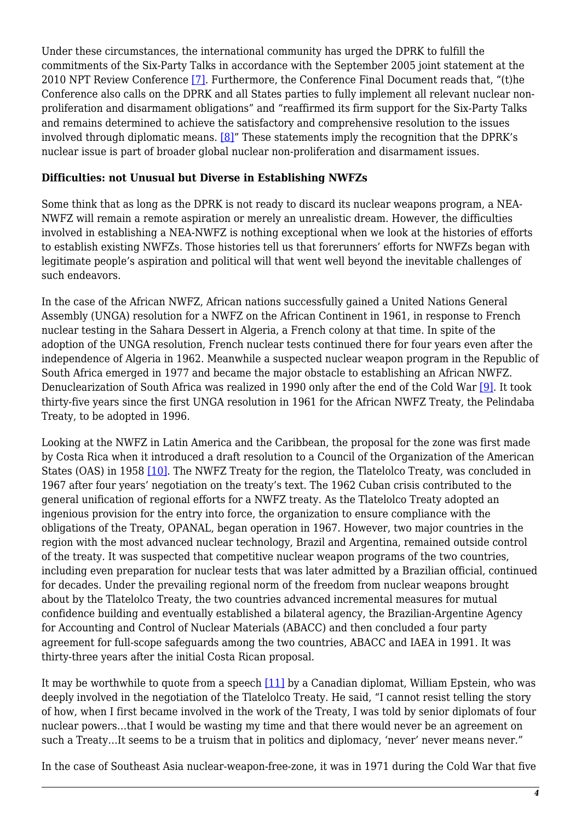Under these circumstances, the international community has urged the DPRK to fulfill the commitments of the Six-Party Talks in accordance with the September 2005 joint statement at the 2010 NPT Review Conference [\[7\]](#page-5-6). Furthermore, the Conference Final Document reads that, "(t)he Conference also calls on the DPRK and all States parties to fully implement all relevant nuclear nonproliferation and disarmament obligations" and "reaffirmed its firm support for the Six-Party Talks and remains determined to achieve the satisfactory and comprehensive resolution to the issues involved through diplomatic means. [\[8\]"](#page-5-7) These statements imply the recognition that the DPRK's nuclear issue is part of broader global nuclear non-proliferation and disarmament issues.

#### **Difficulties: not Unusual but Diverse in Establishing NWFZs**

Some think that as long as the DPRK is not ready to discard its nuclear weapons program, a NEA-NWFZ will remain a remote aspiration or merely an unrealistic dream. However, the difficulties involved in establishing a NEA-NWFZ is nothing exceptional when we look at the histories of efforts to establish existing NWFZs. Those histories tell us that forerunners' efforts for NWFZs began with legitimate people's aspiration and political will that went well beyond the inevitable challenges of such endeavors.

In the case of the African NWFZ, African nations successfully gained a United Nations General Assembly (UNGA) resolution for a NWFZ on the African Continent in 1961, in response to French nuclear testing in the Sahara Dessert in Algeria, a French colony at that time. In spite of the adoption of the UNGA resolution, French nuclear tests continued there for four years even after the independence of Algeria in 1962. Meanwhile a suspected nuclear weapon program in the Republic of South Africa emerged in 1977 and became the major obstacle to establishing an African NWFZ. Denuclearization of South Africa was realized in 1990 only after the end of the Cold War [\[9\].](#page-5-8) It took thirty-five years since the first UNGA resolution in 1961 for the African NWFZ Treaty, the Pelindaba Treaty, to be adopted in 1996.

Looking at the NWFZ in Latin America and the Caribbean, the proposal for the zone was first made by Costa Rica when it introduced a draft resolution to a Council of the Organization of the American States (OAS) in 1958 [\[10\]](#page-5-9). The NWFZ Treaty for the region, the Tlatelolco Treaty, was concluded in 1967 after four years' negotiation on the treaty's text. The 1962 Cuban crisis contributed to the general unification of regional efforts for a NWFZ treaty. As the Tlatelolco Treaty adopted an ingenious provision for the entry into force, the organization to ensure compliance with the obligations of the Treaty, OPANAL, began operation in 1967. However, two major countries in the region with the most advanced nuclear technology, Brazil and Argentina, remained outside control of the treaty. It was suspected that competitive nuclear weapon programs of the two countries, including even preparation for nuclear tests that was later admitted by a Brazilian official, continued for decades. Under the prevailing regional norm of the freedom from nuclear weapons brought about by the Tlatelolco Treaty, the two countries advanced incremental measures for mutual confidence building and eventually established a bilateral agency, the Brazilian-Argentine Agency for Accounting and Control of Nuclear Materials (ABACC) and then concluded a four party agreement for full-scope safeguards among the two countries, ABACC and IAEA in 1991. It was thirty-three years after the initial Costa Rican proposal.

It may be worthwhile to quote from a speech [\[11\]](#page-6-1) by a Canadian diplomat, William Epstein, who was deeply involved in the negotiation of the Tlatelolco Treaty. He said, "I cannot resist telling the story of how, when I first became involved in the work of the Treaty, I was told by senior diplomats of four nuclear powers…that I would be wasting my time and that there would never be an agreement on such a Treaty...It seems to be a truism that in politics and diplomacy, 'never' never means never."

In the case of Southeast Asia nuclear-weapon-free-zone, it was in 1971 during the Cold War that five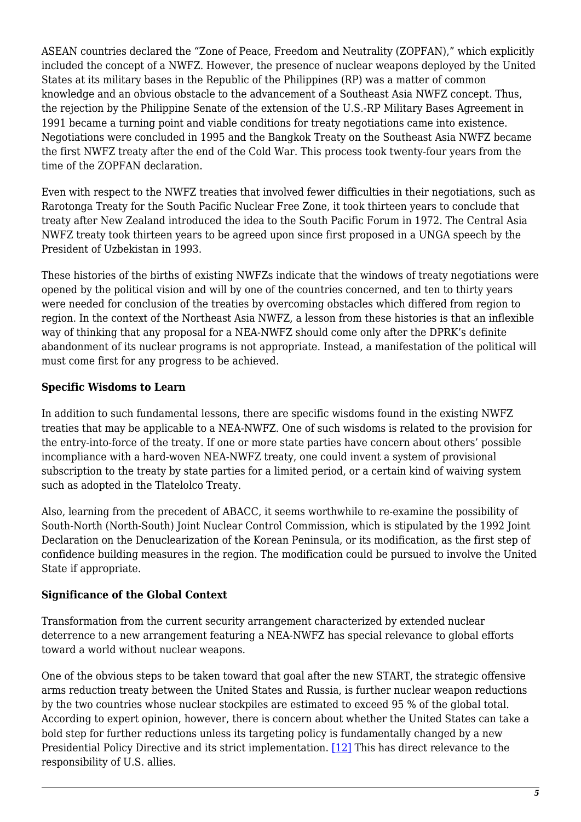ASEAN countries declared the "Zone of Peace, Freedom and Neutrality (ZOPFAN)," which explicitly included the concept of a NWFZ. However, the presence of nuclear weapons deployed by the United States at its military bases in the Republic of the Philippines (RP) was a matter of common knowledge and an obvious obstacle to the advancement of a Southeast Asia NWFZ concept. Thus, the rejection by the Philippine Senate of the extension of the U.S.-RP Military Bases Agreement in 1991 became a turning point and viable conditions for treaty negotiations came into existence. Negotiations were concluded in 1995 and the Bangkok Treaty on the Southeast Asia NWFZ became the first NWFZ treaty after the end of the Cold War. This process took twenty-four years from the time of the ZOPFAN declaration.

Even with respect to the NWFZ treaties that involved fewer difficulties in their negotiations, such as Rarotonga Treaty for the South Pacific Nuclear Free Zone, it took thirteen years to conclude that treaty after New Zealand introduced the idea to the South Pacific Forum in 1972. The Central Asia NWFZ treaty took thirteen years to be agreed upon since first proposed in a UNGA speech by the President of Uzbekistan in 1993.

These histories of the births of existing NWFZs indicate that the windows of treaty negotiations were opened by the political vision and will by one of the countries concerned, and ten to thirty years were needed for conclusion of the treaties by overcoming obstacles which differed from region to region. In the context of the Northeast Asia NWFZ, a lesson from these histories is that an inflexible way of thinking that any proposal for a NEA-NWFZ should come only after the DPRK's definite abandonment of its nuclear programs is not appropriate. Instead, a manifestation of the political will must come first for any progress to be achieved.

### **Specific Wisdoms to Learn**

In addition to such fundamental lessons, there are specific wisdoms found in the existing NWFZ treaties that may be applicable to a NEA-NWFZ. One of such wisdoms is related to the provision for the entry-into-force of the treaty. If one or more state parties have concern about others' possible incompliance with a hard-woven NEA-NWFZ treaty, one could invent a system of provisional subscription to the treaty by state parties for a limited period, or a certain kind of waiving system such as adopted in the Tlatelolco Treaty.

Also, learning from the precedent of ABACC, it seems worthwhile to re-examine the possibility of South-North (North-South) Joint Nuclear Control Commission, which is stipulated by the 1992 Joint Declaration on the Denuclearization of the Korean Peninsula, or its modification, as the first step of confidence building measures in the region. The modification could be pursued to involve the United State if appropriate.

#### **Significance of the Global Context**

Transformation from the current security arrangement characterized by extended nuclear deterrence to a new arrangement featuring a NEA-NWFZ has special relevance to global efforts toward a world without nuclear weapons.

One of the obvious steps to be taken toward that goal after the new START, the strategic offensive arms reduction treaty between the United States and Russia, is further nuclear weapon reductions by the two countries whose nuclear stockpiles are estimated to exceed 95 % of the global total. According to expert opinion, however, there is concern about whether the United States can take a bold step for further reductions unless its targeting policy is fundamentally changed by a new Presidential Policy Directive and its strict implementation. [\[12\]](#page-6-2) This has direct relevance to the responsibility of U.S. allies.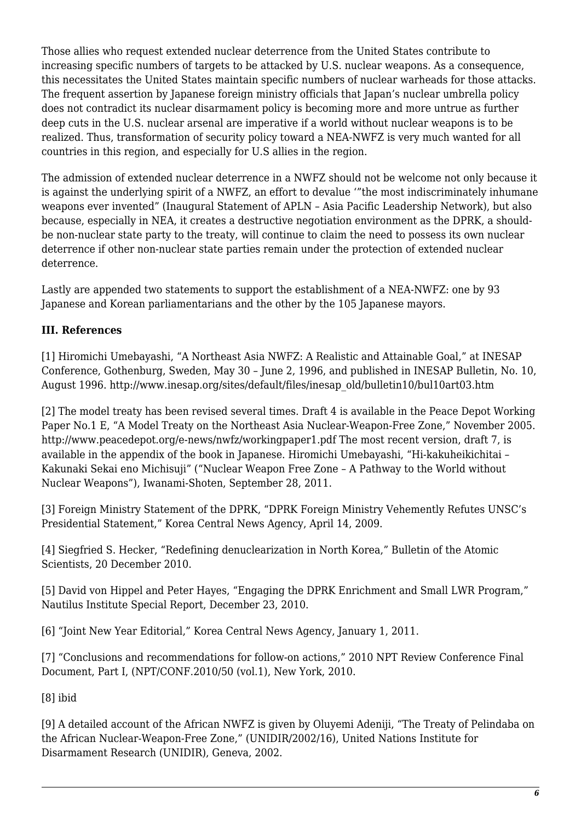Those allies who request extended nuclear deterrence from the United States contribute to increasing specific numbers of targets to be attacked by U.S. nuclear weapons. As a consequence, this necessitates the United States maintain specific numbers of nuclear warheads for those attacks. The frequent assertion by Japanese foreign ministry officials that Japan's nuclear umbrella policy does not contradict its nuclear disarmament policy is becoming more and more untrue as further deep cuts in the U.S. nuclear arsenal are imperative if a world without nuclear weapons is to be realized. Thus, transformation of security policy toward a NEA-NWFZ is very much wanted for all countries in this region, and especially for U.S allies in the region.

The admission of extended nuclear deterrence in a NWFZ should not be welcome not only because it is against the underlying spirit of a NWFZ, an effort to devalue '"the most indiscriminately inhumane weapons ever invented" (Inaugural Statement of APLN – Asia Pacific Leadership Network), but also because, especially in NEA, it creates a destructive negotiation environment as the DPRK, a shouldbe non-nuclear state party to the treaty, will continue to claim the need to possess its own nuclear deterrence if other non-nuclear state parties remain under the protection of extended nuclear deterrence.

Lastly are appended two statements to support the establishment of a NEA-NWFZ: one by 93 Japanese and Korean parliamentarians and the other by the 105 Japanese mayors.

## <span id="page-5-0"></span>**III. References**

<span id="page-5-1"></span>[1] Hiromichi Umebayashi, "A Northeast Asia NWFZ: A Realistic and Attainable Goal," at INESAP Conference, Gothenburg, Sweden, May 30 – June 2, 1996, and published in INESAP Bulletin, No. 10, August 1996. http://www.inesap.org/sites/default/files/inesap\_old/bulletin10/bul10art03.htm

<span id="page-5-2"></span>[2] The model treaty has been revised several times. Draft 4 is available in the Peace Depot Working Paper No.1 E, "A Model Treaty on the Northeast Asia Nuclear-Weapon-Free Zone," November 2005. http://www.peacedepot.org/e-news/nwfz/workingpaper1.pdf The most recent version, draft 7, is available in the appendix of the book in Japanese. Hiromichi Umebayashi, "Hi-kakuheikichitai – Kakunaki Sekai eno Michisuji" ("Nuclear Weapon Free Zone – A Pathway to the World without Nuclear Weapons"), Iwanami-Shoten, September 28, 2011.

[3] Foreign Ministry Statement of the DPRK, "DPRK Foreign Ministry Vehemently Refutes UNSC's Presidential Statement," Korea Central News Agency, April 14, 2009.

<span id="page-5-3"></span>[4] Siegfried S. Hecker, "Redefining denuclearization in North Korea," Bulletin of the Atomic Scientists, 20 December 2010.

<span id="page-5-4"></span>[5] David von Hippel and Peter Hayes, "Engaging the DPRK Enrichment and Small LWR Program," Nautilus Institute Special Report, December 23, 2010.

<span id="page-5-5"></span>[6] "Joint New Year Editorial," Korea Central News Agency, January 1, 2011.

<span id="page-5-6"></span>[7] "Conclusions and recommendations for follow-on actions," 2010 NPT Review Conference Final Document, Part I, (NPT/CONF.2010/50 (vol.1), New York, 2010.

<span id="page-5-7"></span>[8] ibid

<span id="page-5-9"></span><span id="page-5-8"></span>[9] A detailed account of the African NWFZ is given by Oluyemi Adeniji, "The Treaty of Pelindaba on the African Nuclear-Weapon-Free Zone," (UNIDIR/2002/16), United Nations Institute for Disarmament Research (UNIDIR), Geneva, 2002.